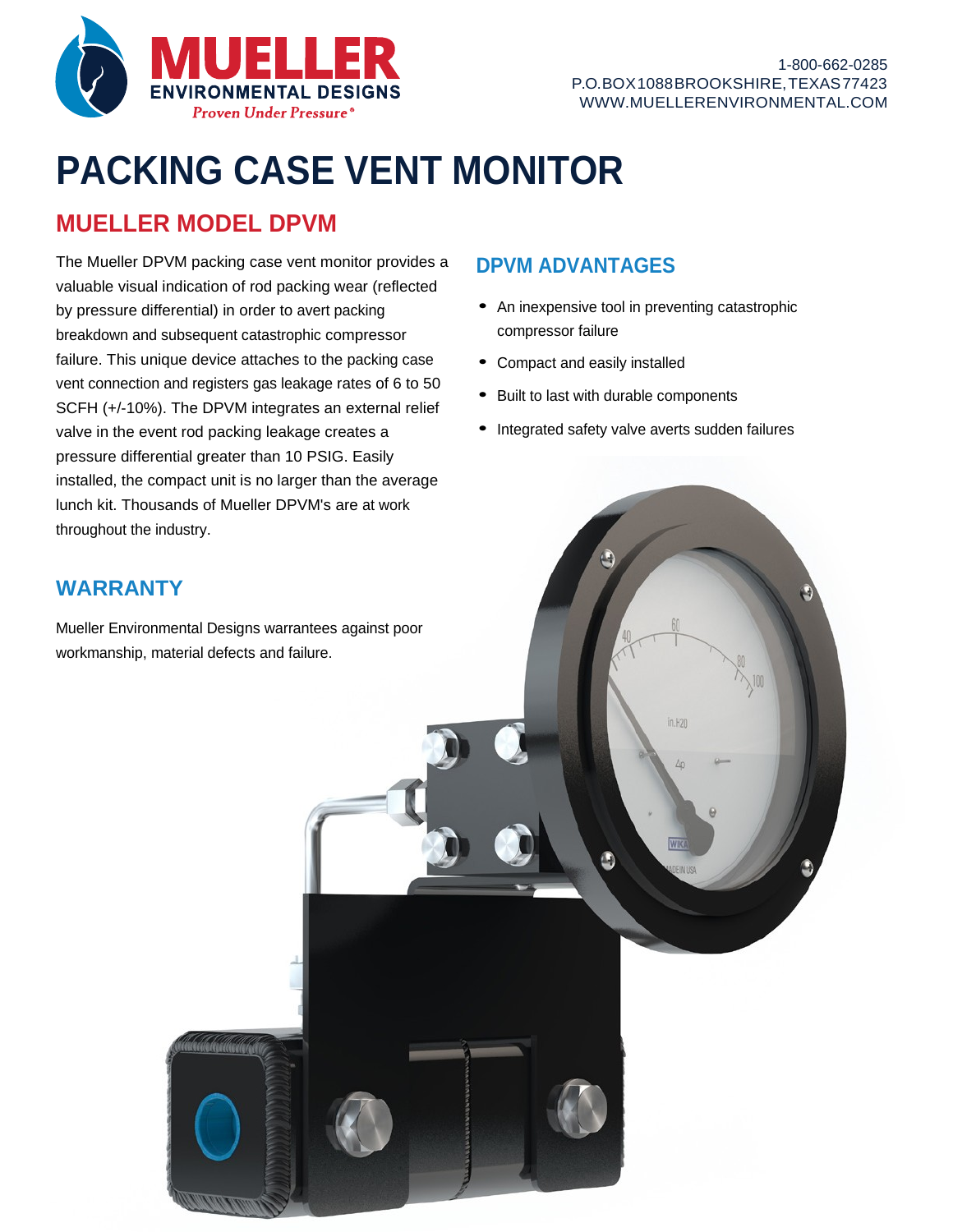

# **PACKING CASE VENT MONITOR**

# **MUELLER MODEL DPVM**

The Mueller DPVM packing case vent monitor provides a valuable visual indication of rod packing wear (reflected by pressure differential) in order to avert packing breakdown and subsequent catastrophic compressor failure. This unique device attaches to the packing case vent connection and registers gas leakage rates of 6 to 50 SCFH (+/-10%). The DPVM integrates an external relief valve in the event rod packing leakage creates a pressure differential greater than 10 PSIG. Easily installed, the compact unit is no larger than the average lunch kit. Thousands of Mueller DPVM's are at work throughout the industry.

# **DPVM ADVANTAGES**

- An inexpensive tool in preventing catastrophic compressor failure
- Compact and easily installed
- Built to last with durable components
- Integrated safety valve averts sudden failures

in.H20

#### **WARRANTY**

Mueller Environmental Designs warrantees against poor workmanship, material defects and failure.